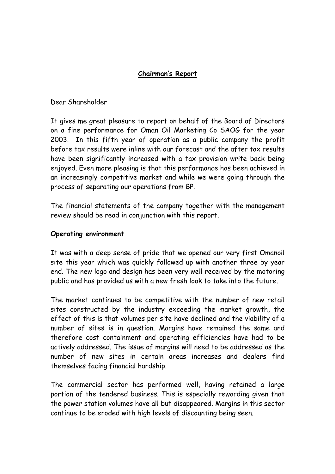# **Chairman's Report**

Dear Shareholder

It gives me great pleasure to report on behalf of the Board of Directors on a fine performance for Oman Oil Marketing Co SAOG for the year 2003. In this fifth year of operation as a public company the profit before tax results were inline with our forecast and the after tax results have been significantly increased with a tax provision write back being enjoyed. Even more pleasing is that this performance has been achieved in an increasingly competitive market and while we were going through the process of separating our operations from BP.

The financial statements of the company together with the management review should be read in conjunction with this report.

## **Operating environment**

It was with a deep sense of pride that we opened our very first Omanoil site this year which was quickly followed up with another three by year end. The new logo and design has been very well received by the motoring public and has provided us with a new fresh look to take into the future.

The market continues to be competitive with the number of new retail sites constructed by the industry exceeding the market growth, the effect of this is that volumes per site have declined and the viability of a number of sites is in question. Margins have remained the same and therefore cost containment and operating efficiencies have had to be actively addressed. The issue of margins will need to be addressed as the number of new sites in certain areas increases and dealers find themselves facing financial hardship.

The commercial sector has performed well, having retained a large portion of the tendered business. This is especially rewarding given that the power station volumes have all but disappeared. Margins in this sector continue to be eroded with high levels of discounting being seen.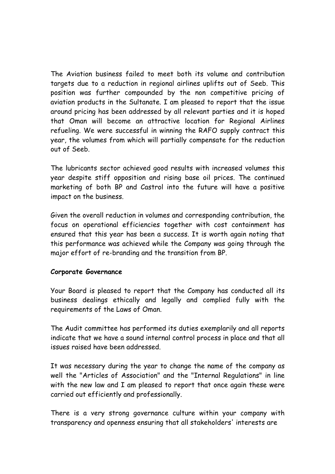The Aviation business failed to meet both its volume and contribution targets due to a reduction in regional airlines uplifts out of Seeb. This position was further compounded by the non competitive pricing of aviation products in the Sultanate. I am pleased to report that the issue around pricing has been addressed by all relevant parties and it is hoped that Oman will become an attractive location for Regional Airlines refueling. We were successful in winning the RAFO supply contract this year, the volumes from which will partially compensate for the reduction out of Seeb.

The lubricants sector achieved good results with increased volumes this year despite stiff opposition and rising base oil prices. The continued marketing of both BP and Castrol into the future will have a positive impact on the business.

Given the overall reduction in volumes and corresponding contribution, the focus on operational efficiencies together with cost containment has ensured that this year has been a success. It is worth again noting that this performance was achieved while the Company was going through the major effort of re-branding and the transition from BP.

#### **Corporate Governance**

Your Board is pleased to report that the Company has conducted all its business dealings ethically and legally and complied fully with the requirements of the Laws of Oman.

The Audit committee has performed its duties exemplarily and all reports indicate that we have a sound internal control process in place and that all issues raised have been addressed.

It was necessary during the year to change the name of the company as well the "Articles of Association" and the "Internal Regulations" in line with the new law and I am pleased to report that once again these were carried out efficiently and professionally.

There is a very strong governance culture within your company with transparency and openness ensuring that all stakeholders' interests are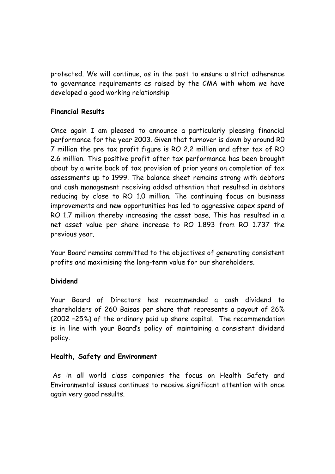protected. We will continue, as in the past to ensure a strict adherence to governance requirements as raised by the CMA with whom we have developed a good working relationship

## **Financial Results**

Once again I am pleased to announce a particularly pleasing financial performance for the year 2003. Given that turnover is down by around R0 7 million the pre tax profit figure is RO 2.2 million and after tax of RO 2.6 million. This positive profit after tax performance has been brought about by a write back of tax provision of prior years on completion of tax assessments up to 1999. The balance sheet remains strong with debtors and cash management receiving added attention that resulted in debtors reducing by close to RO 1.0 million. The continuing focus on business improvements and new opportunities has led to aggressive capex spend of RO 1.7 million thereby increasing the asset base. This has resulted in a net asset value per share increase to RO 1.893 from RO 1.737 the previous year.

Your Board remains committed to the objectives of generating consistent profits and maximising the long-term value for our shareholders.

#### **Dividend**

Your Board of Directors has recommended a cash dividend to shareholders of 260 Baisas per share that represents a payout of 26% (2002 –25%) of the ordinary paid up share capital. The recommendation is in line with your Board's policy of maintaining a consistent dividend policy.

#### **Health, Safety and Environment**

 As in all world class companies the focus on Health Safety and Environmental issues continues to receive significant attention with once again very good results.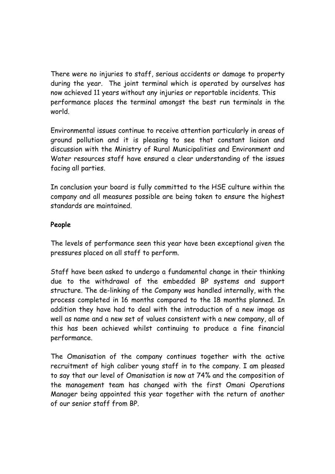There were no injuries to staff, serious accidents or damage to property during the year. The joint terminal which is operated by ourselves has now achieved 11 years without any injuries or reportable incidents. This performance places the terminal amongst the best run terminals in the world.

Environmental issues continue to receive attention particularly in areas of ground pollution and it is pleasing to see that constant liaison and discussion with the Ministry of Rural Municipalities and Environment and Water resources staff have ensured a clear understanding of the issues facing all parties.

In conclusion your board is fully committed to the HSE culture within the company and all measures possible are being taken to ensure the highest standards are maintained.

## **People**

The levels of performance seen this year have been exceptional given the pressures placed on all staff to perform.

Staff have been asked to undergo a fundamental change in their thinking due to the withdrawal of the embedded BP systems and support structure. The de-linking of the Company was handled internally, with the process completed in 16 months compared to the 18 months planned. In addition they have had to deal with the introduction of a new image as well as name and a new set of values consistent with a new company, all of this has been achieved whilst continuing to produce a fine financial performance.

The Omanisation of the company continues together with the active recruitment of high caliber young staff in to the company. I am pleased to say that our level of Omanisation is now at 74% and the composition of the management team has changed with the first Omani Operations Manager being appointed this year together with the return of another of our senior staff from BP.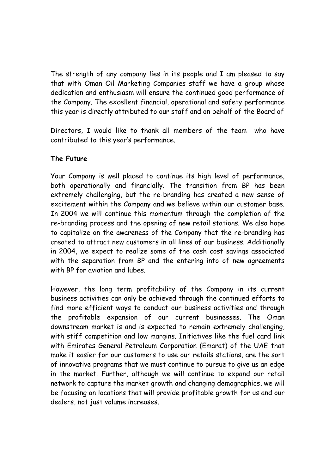The strength of any company lies in its people and I am pleased to say that with Oman Oil Marketing Companies staff we have a group whose dedication and enthusiasm will ensure the continued good performance of the Company. The excellent financial, operational and safety performance this year is directly attributed to our staff and on behalf of the Board of

Directors, I would like to thank all members of the team who have contributed to this year's performance.

# **The Future**

Your Company is well placed to continue its high level of performance, both operationally and financially. The transition from BP has been extremely challenging, but the re-branding has created a new sense of excitement within the Company and we believe within our customer base. In 2004 we will continue this momentum through the completion of the re-branding process and the opening of new retail stations. We also hope to capitalize on the awareness of the Company that the re-branding has created to attract new customers in all lines of our business. Additionally in 2004, we expect to realize some of the cash cost savings associated with the separation from BP and the entering into of new agreements with BP for aviation and lubes.

However, the long term profitability of the Company in its current business activities can only be achieved through the continued efforts to find more efficient ways to conduct our business activities and through the profitable expansion of our current businesses. The Oman downstream market is and is expected to remain extremely challenging, with stiff competition and low margins. Initiatives like the fuel card link with Emirates General Petroleum Corporation (Emarat) of the UAE that make it easier for our customers to use our retails stations, are the sort of innovative programs that we must continue to pursue to give us an edge in the market. Further, although we will continue to expand our retail network to capture the market growth and changing demographics, we will be focusing on locations that will provide profitable growth for us and our dealers, not just volume increases.